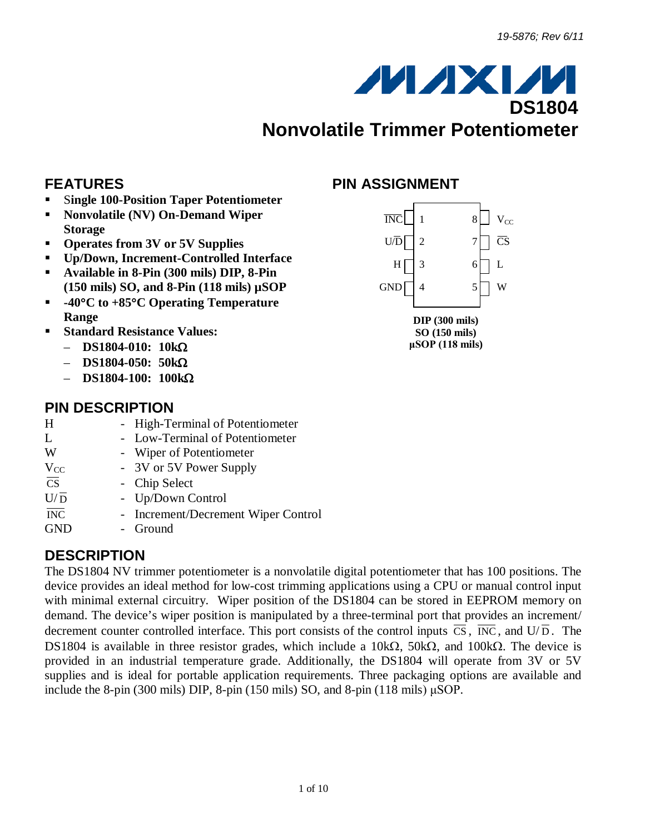

**PIN ASSIGNMENT**

#### **FEATURES**

- S**ingle 100-Position Taper Potentiometer**
- **Nonvolatile (NV) On-Demand Wiper Storage**
- **Operates from 3V or 5V Supplies**
- **Up/Down, Increment-Controlled Interface**
- **Available in 8-Pin (300 mils) DIP, 8-Pin (150 mils) SO, and 8-Pin (118 mils) µSOP**
- **-40**°**C to +85**°**C Operating Temperature Range**
- **Standard Resistance Values:**
	- **DS1804-010: 10k**Ω
	- **DS1804-050: 50k**Ω
	- **DS1804-100: 100k**Ω



#### **PIN DESCRIPTION**

| Н                                 | - High-Terminal of Potentiometer    |
|-----------------------------------|-------------------------------------|
| L                                 | - Low-Terminal of Potentiometer     |
| W                                 | - Wiper of Potentiometer            |
| $V_{CC}$                          | - 3V or 5V Power Supply             |
| $\overline{\overline{\text{CS}}}$ | - Chip Select                       |
| $U/\overline{D}$                  | - Up/Down Control                   |
| $\overline{\text{INC}}$           | - Increment/Decrement Wiper Control |
| <b>GND</b>                        | Ground                              |
|                                   |                                     |

#### **DESCRIPTION**

The DS1804 NV trimmer potentiometer is a nonvolatile digital potentiometer that has 100 positions. The device provides an ideal method for low-cost trimming applications using a CPU or manual control input with minimal external circuitry. Wiper position of the DS1804 can be stored in EEPROM memory on demand. The device's wiper position is manipulated by a three-terminal port that provides an increment/ decrement counter controlled interface. This port consists of the control inputs  $\overline{CS}$ ,  $\overline{INC}$ , and  $U/\overline{D}$ . The DS1804 is available in three resistor grades, which include a 10kΩ, 50kΩ, and 100kΩ. The device is provided in an industrial temperature grade. Additionally, the DS1804 will operate from 3V or 5V supplies and is ideal for portable application requirements. Three packaging options are available and include the 8-pin (300 mils) DIP, 8-pin (150 mils) SO, and 8-pin (118 mils) μSOP.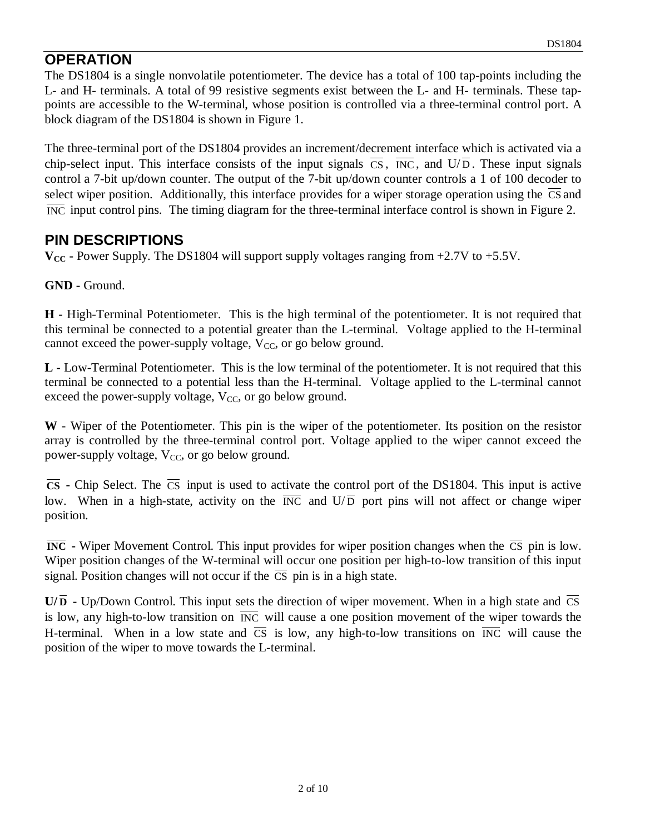# **OPERATION**

The DS1804 is a single nonvolatile potentiometer. The device has a total of 100 tap-points including the L- and H- terminals. A total of 99 resistive segments exist between the L- and H- terminals. These tappoints are accessible to the W-terminal, whose position is controlled via a three-terminal control port. A block diagram of the DS1804 is shown in Figure 1.

The three-terminal port of the DS1804 provides an increment/decrement interface which is activated via a chip-select input. This interface consists of the input signals  $\overline{CS}$ ,  $\overline{INC}$ , and  $U/\overline{D}$ . These input signals control a 7-bit up/down counter. The output of the 7-bit up/down counter controls a 1 of 100 decoder to select wiper position. Additionally, this interface provides for a wiper storage operation using the  $\overline{CS}$  and INC input control pins. The timing diagram for the three-terminal interface control is shown in Figure 2.

#### **PIN DESCRIPTIONS**

 $V_{CC}$  **-** Power Supply. The DS1804 will support supply voltages ranging from +2.7V to +5.5V.

**GND -** Ground.

**H -** High-Terminal Potentiometer. This is the high terminal of the potentiometer. It is not required that this terminal be connected to a potential greater than the L-terminal. Voltage applied to the H-terminal cannot exceed the power-supply voltage,  $V_{CC}$ , or go below ground.

**L -** Low-Terminal Potentiometer. This is the low terminal of the potentiometer. It is not required that this terminal be connected to a potential less than the H-terminal. Voltage applied to the L-terminal cannot exceed the power-supply voltage,  $V_{CC}$ , or go below ground.

**W** - Wiper of the Potentiometer. This pin is the wiper of the potentiometer. Its position on the resistor array is controlled by the three-terminal control port. Voltage applied to the wiper cannot exceed the power-supply voltage, V<sub>CC</sub>, or go below ground.

 $\overline{CS}$  **-** Chip Select. The  $\overline{CS}$  input is used to activate the control port of the DS1804. This input is active low. When in a high-state, activity on the  $\overline{INC}$  and  $U/\overline{D}$  port pins will not affect or change wiper position.

 $\overline{INC}$  **-** Wiper Movement Control. This input provides for wiper position changes when the  $\overline{CS}$  pin is low. Wiper position changes of the W-terminal will occur one position per high-to-low transition of this input signal. Position changes will not occur if the  $\overline{CS}$  pin is in a high state.

 $U/\overline{D}$  **-** Up/Down Control. This input sets the direction of wiper movement. When in a high state and CS is low, any high-to-low transition on  $\overline{INC}$  will cause a one position movement of the wiper towards the H-terminal. When in a low state and  $\overline{CS}$  is low, any high-to-low transitions on  $\overline{INC}$  will cause the position of the wiper to move towards the L-terminal.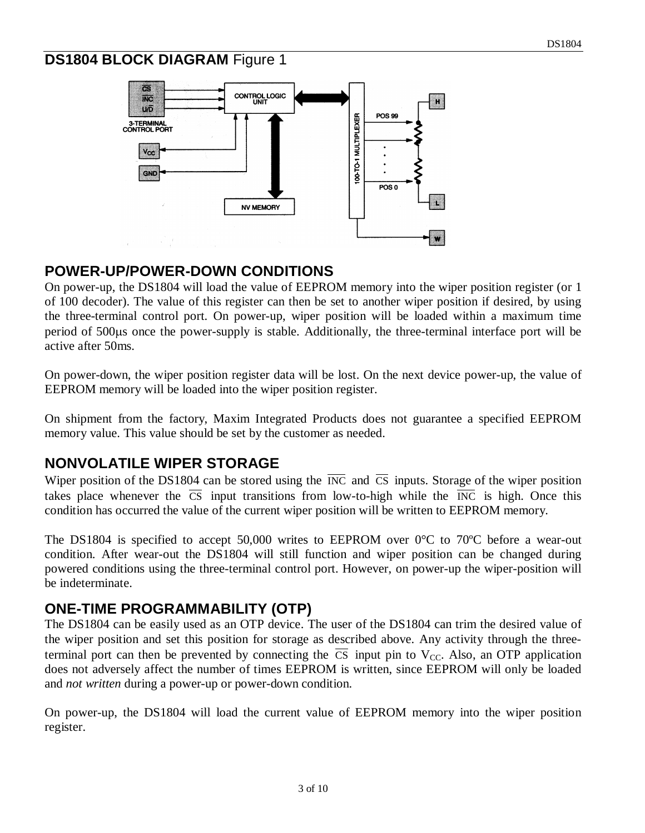# **DS1804 BLOCK DIAGRAM** Figure 1



#### **POWER-UP/POWER-DOWN CONDITIONS**

On power-up, the DS1804 will load the value of EEPROM memory into the wiper position register (or 1 of 100 decoder). The value of this register can then be set to another wiper position if desired, by using the three-terminal control port. On power-up, wiper position will be loaded within a maximum time period of 500µs once the power-supply is stable. Additionally, the three-terminal interface port will be active after 50ms.

On power-down, the wiper position register data will be lost. On the next device power-up, the value of EEPROM memory will be loaded into the wiper position register.

On shipment from the factory, Maxim Integrated Products does not guarantee a specified EEPROM memory value. This value should be set by the customer as needed.

### **NONVOLATILE WIPER STORAGE**

Wiper position of the DS1804 can be stored using the  $\overline{INC}$  and  $\overline{CS}$  inputs. Storage of the wiper position takes place whenever the  $\overline{CS}$  input transitions from low-to-high while the  $\overline{INC}$  is high. Once this condition has occurred the value of the current wiper position will be written to EEPROM memory.

The DS1804 is specified to accept 50,000 writes to EEPROM over 0°C to 70ºC before a wear-out condition. After wear-out the DS1804 will still function and wiper position can be changed during powered conditions using the three-terminal control port. However, on power-up the wiper-position will be indeterminate.

#### **ONE-TIME PROGRAMMABILITY (OTP)**

The DS1804 can be easily used as an OTP device. The user of the DS1804 can trim the desired value of the wiper position and set this position for storage as described above. Any activity through the threeterminal port can then be prevented by connecting the  $\overline{CS}$  input pin to V<sub>CC</sub>. Also, an OTP application does not adversely affect the number of times EEPROM is written, since EEPROM will only be loaded and *not written* during a power-up or power-down condition.

On power-up, the DS1804 will load the current value of EEPROM memory into the wiper position register.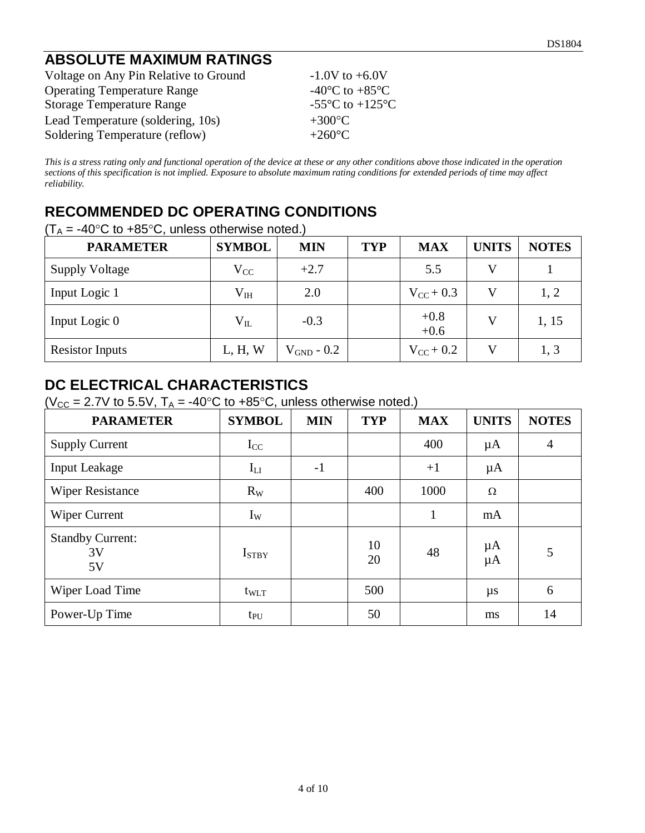# **ABSOLUTE MAXIMUM RATINGS**

| Voltage on Any Pin Relative to Ground | $-1.0V$ to $+6.0V$                                    |
|---------------------------------------|-------------------------------------------------------|
| <b>Operating Temperature Range</b>    | -40 $\rm{^{\circ}C}$ to +85 $\rm{^{\circ}C}$          |
| <b>Storage Temperature Range</b>      | -55 $\mathrm{^{\circ}C}$ to +125 $\mathrm{^{\circ}C}$ |
| Lead Temperature (soldering, 10s)     | $+300^{\circ}$ C                                      |
| Soldering Temperature (reflow)        | $+260$ °C                                             |

This is a stress rating only and functional operation of the device at these or any other conditions above those indicated in the operation *sections of this specification is not implied. Exposure to absolute maximum rating conditions for extended periods of time may affect reliability.*

## **RECOMMENDED DC OPERATING CONDITIONS**

| <b>PARAMETER</b>       | <b>SYMBOL</b> | <b>MIN</b>            | <b>TYP</b> | <b>MAX</b>         | <b>UNITS</b> | <b>NOTES</b> |
|------------------------|---------------|-----------------------|------------|--------------------|--------------|--------------|
| <b>Supply Voltage</b>  | $\rm V_{CC}$  | $+2.7$                |            | 5.5                | V            |              |
| Input Logic 1          | $\rm V_{IH}$  | 2.0                   |            | $V_{CC}$ + 0.3     |              | 1, 2         |
| Input Logic 0          | $\rm V_{II}$  | $-0.3$                |            | $+0.8$<br>$+0.6$   | V            | 1, 15        |
| <b>Resistor Inputs</b> | L, H, W       | $\rm V_{GND}$ - $0.2$ |            | $V_{\rm CC}$ + 0.2 | V            | 1, 3         |

### **DC ELECTRICAL CHARACTERISTICS**

( $V_{CC}$  = 2.7V to 5.5V,  $T_A$  = -40°C to +85°C, unless otherwise noted.)

| <b>PARAMETER</b>                    | <b>SYMBOL</b>     | <b>MIN</b> | <b>TYP</b> | <b>MAX</b>   | <b>UNITS</b>       | <b>NOTES</b>   |
|-------------------------------------|-------------------|------------|------------|--------------|--------------------|----------------|
| <b>Supply Current</b>               | $I_{CC}$          |            |            | 400          | $\mu A$            | $\overline{4}$ |
| Input Leakage                       | $I_{LI}$          | $-1$       |            | $+1$         | $\mu A$            |                |
| <b>Wiper Resistance</b>             | $R_W$             |            | 400        | 1000         | $\Omega$           |                |
| <b>Wiper Current</b>                | $I_W$             |            |            | $\mathbf{1}$ | mA                 |                |
| <b>Standby Current:</b><br>3V<br>5V | I <sub>STBY</sub> |            | 10<br>20   | 48           | $\mu A$<br>$\mu A$ | 5              |
| Wiper Load Time                     | $t_{WLT}$         |            | 500        |              | $\mu s$            | 6              |
| Power-Up Time                       | $t_{PU}$          |            | 50         |              | ms                 | 14             |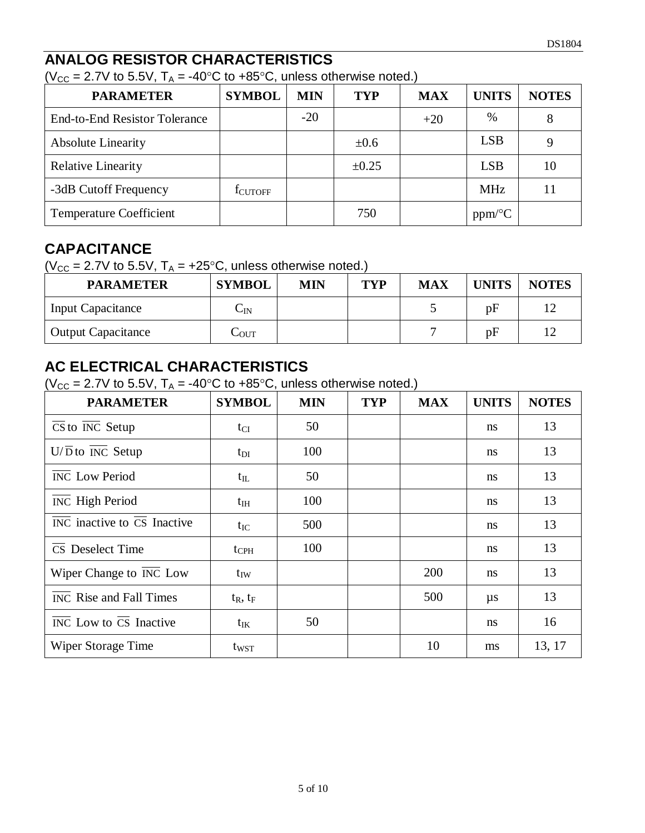# **ANALOG RESISTOR CHARACTERISTICS**

( $V_{CC}$  = 2.7V to 5.5V,  $T_A$  = -40°C to +85°C, unless otherwise noted.)

| <b>PARAMETER</b>                     | <b>SYMBOL</b>   | <b>MIN</b> | <b>TYP</b> | <b>MAX</b> | <b>UNITS</b>         | <b>NOTES</b> |
|--------------------------------------|-----------------|------------|------------|------------|----------------------|--------------|
| <b>End-to-End Resistor Tolerance</b> |                 | $-20$      |            | $+20$      | $\%$                 | 8            |
| <b>Absolute Linearity</b>            |                 |            | $\pm 0.6$  |            | <b>LSB</b>           |              |
| <b>Relative Linearity</b>            |                 |            | $\pm 0.25$ |            | <b>LSB</b>           | 10           |
| -3dB Cutoff Frequency                | <b>I</b> CUTOFF |            |            |            | <b>MHz</b>           |              |
| <b>Temperature Coefficient</b>       |                 |            | 750        |            | $ppm$ <sup>o</sup> C |              |

### **CAPACITANCE**

( $V_{CC}$  = 2.7V to 5.5V,  $T_A$  = +25°C, unless otherwise noted.)

| <b>PARAMETER</b>          | <b>SYMBOL</b>   | <b>MIN</b> | <b>TYP</b> | <b>MAX</b> | <b>UNITS</b> | <b>NOTES</b> |
|---------------------------|-----------------|------------|------------|------------|--------------|--------------|
| <b>Input Capacitance</b>  | $\cup_{\rm IN}$ |            |            |            | pF           |              |
| <b>Output Capacitance</b> | $-$ OUT         |            |            |            | pF           |              |

# **AC ELECTRICAL CHARACTERISTICS**

( $V_{CC}$  = 2.7V to 5.5V,  $T_A$  = -40°C to +85°C, unless otherwise noted.)

| <b>PARAMETER</b>                                                    | <b>SYMBOL</b>  | <b>MIN</b> | <b>TYP</b> | <b>MAX</b> | <b>UNITS</b>  | <b>NOTES</b> |
|---------------------------------------------------------------------|----------------|------------|------------|------------|---------------|--------------|
| $\overline{\text{CS}}$ to $\overline{\text{INC}}$ Setup             | $t_{CI}$       | 50         |            |            | <sub>ns</sub> | 13           |
| $U/\overline{D}$ to INC Setup                                       | $t_{DI}$       | 100        |            |            | ns            | 13           |
| <b>INC</b> Low Period                                               | $t_{\rm IL}$   | 50         |            |            | ns            | 13           |
| <b>INC</b> High Period                                              | $t_{\rm IH}$   | 100        |            |            | ns            | 13           |
| $\overline{\text{INC}}$ inactive to $\overline{\text{CS}}$ Inactive | $t_{\rm IC}$   | 500        |            |            | ns            | 13           |
| $\overline{\text{CS}}$ Deselect Time                                | $t_{\rm{CPH}}$ | 100        |            |            | ns            | 13           |
| Wiper Change to INC Low                                             | $t_{\rm{IW}}$  |            |            | 200        | ns            | 13           |
| <b>INC</b> Rise and Fall Times                                      | $t_R$ , $t_F$  |            |            | 500        | $\mu s$       | 13           |
| $\overline{INC}$ Low to $\overline{CS}$ Inactive                    | $t_{\rm IK}$   | 50         |            |            | ns            | 16           |
| Wiper Storage Time                                                  | $t_{WST}$      |            |            | 10         | ms            | 13, 17       |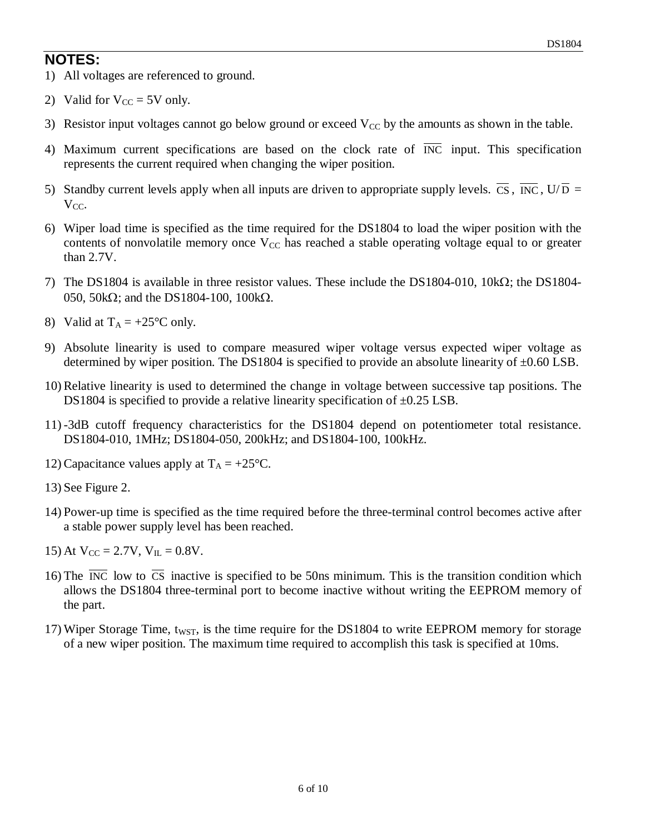#### **NOTES:**

- 1) All voltages are referenced to ground.
- 2) Valid for  $V_{CC} = 5V$  only.
- 3) Resistor input voltages cannot go below ground or exceed  $V_{CC}$  by the amounts as shown in the table.
- 4) Maximum current specifications are based on the clock rate of  $\overline{INC}$  input. This specification represents the current required when changing the wiper position.
- 5) Standby current levels apply when all inputs are driven to appropriate supply levels.  $\overline{CS}$ ,  $\overline{INC}$ ,  $U/\overline{D}$  =  $V_{CC}$ .
- 6) Wiper load time is specified as the time required for the DS1804 to load the wiper position with the contents of nonvolatile memory once  $V_{CC}$  has reached a stable operating voltage equal to or greater than 2.7V.
- 7) The DS1804 is available in three resistor values. These include the DS1804-010, 10kΩ; the DS1804- 050, 50kΩ; and the DS1804-100, 100kΩ.
- 8) Valid at  $T_A = +25$ °C only.
- 9) Absolute linearity is used to compare measured wiper voltage versus expected wiper voltage as determined by wiper position. The DS1804 is specified to provide an absolute linearity of  $\pm 0.60$  LSB.
- 10) Relative linearity is used to determined the change in voltage between successive tap positions. The DS1804 is specified to provide a relative linearity specification of  $\pm 0.25$  LSB.
- 11) -3dB cutoff frequency characteristics for the DS1804 depend on potentiometer total resistance. DS1804-010, 1MHz; DS1804-050, 200kHz; and DS1804-100, 100kHz.
- 12) Capacitance values apply at  $T_A = +25$ °C.
- 13) See Figure 2.
- 14) Power-up time is specified as the time required before the three-terminal control becomes active after a stable power supply level has been reached.
- 15) At  $V_{CC} = 2.7V$ ,  $V_{IL} = 0.8V$ .
- 16) The  $\overline{INC}$  low to  $\overline{CS}$  inactive is specified to be 50ns minimum. This is the transition condition which allows the DS1804 three-terminal port to become inactive without writing the EEPROM memory of the part.
- 17) Wiper Storage Time,  $t_{WST}$ , is the time require for the DS1804 to write EEPROM memory for storage of a new wiper position. The maximum time required to accomplish this task is specified at 10ms.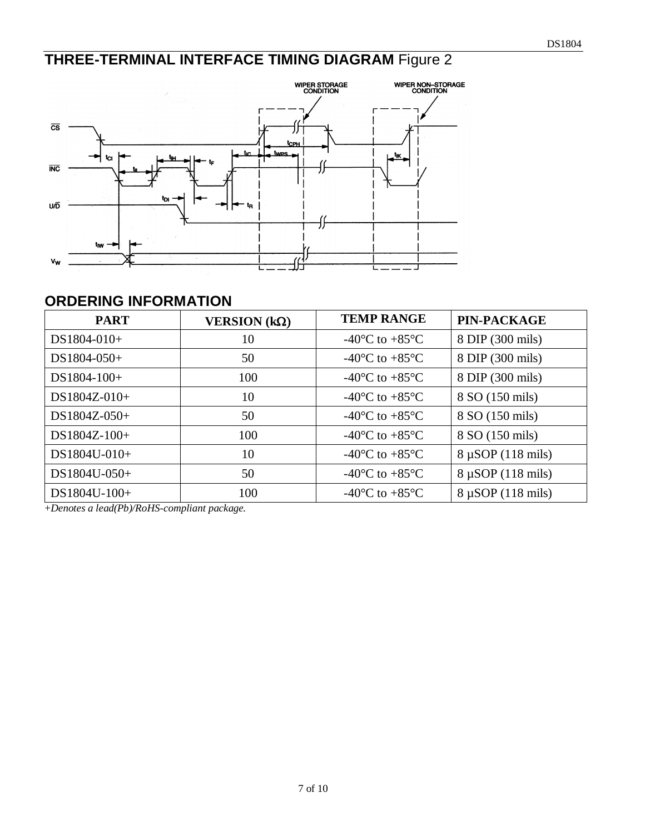# **THREE-TERMINAL INTERFACE TIMING DIAGRAM** Figure 2



#### **ORDERING INFORMATION**

| <b>PART</b>   | <b>VERSION</b> ( $k\Omega$ ) | <b>TEMP RANGE</b>                                    | <b>PIN-PACKAGE</b>             |
|---------------|------------------------------|------------------------------------------------------|--------------------------------|
| $DS1804-010+$ | 10                           | -40 $\mathrm{^{\circ}C}$ to +85 $\mathrm{^{\circ}C}$ | 8 DIP (300 mils)               |
| DS1804-050+   | 50                           | -40 $^{\circ}$ C to +85 $^{\circ}$ C                 | 8 DIP (300 mils)               |
| DS1804-100+   | 100                          | -40 $^{\circ}$ C to +85 $^{\circ}$ C                 | 8 DIP (300 mils)               |
| DS1804Z-010+  | 10                           | -40 $^{\circ}$ C to +85 $^{\circ}$ C                 | 8 SO (150 mils)                |
| DS1804Z-050+  | 50                           | -40 $\mathrm{^{\circ}C}$ to +85 $\mathrm{^{\circ}C}$ | 8 SO (150 mils)                |
| DS1804Z-100+  | 100                          | -40 $^{\circ}$ C to +85 $^{\circ}$ C                 | 8 SO (150 mils)                |
| DS1804U-010+  | 10                           | -40 $\mathrm{^{\circ}C}$ to +85 $\mathrm{^{\circ}C}$ | $8 \mu SOP (118 \text{ mils})$ |
| DS1804U-050+  | 50                           | -40 $^{\circ}$ C to +85 $^{\circ}$ C                 | $8 \mu$ SOP (118 mils)         |
| DS1804U-100+  | 100                          | -40 $^{\circ}$ C to +85 $^{\circ}$ C                 | $8 \mu$ SOP (118 mils)         |

+*Denotes a lead(Pb)/RoHS-compliant package.*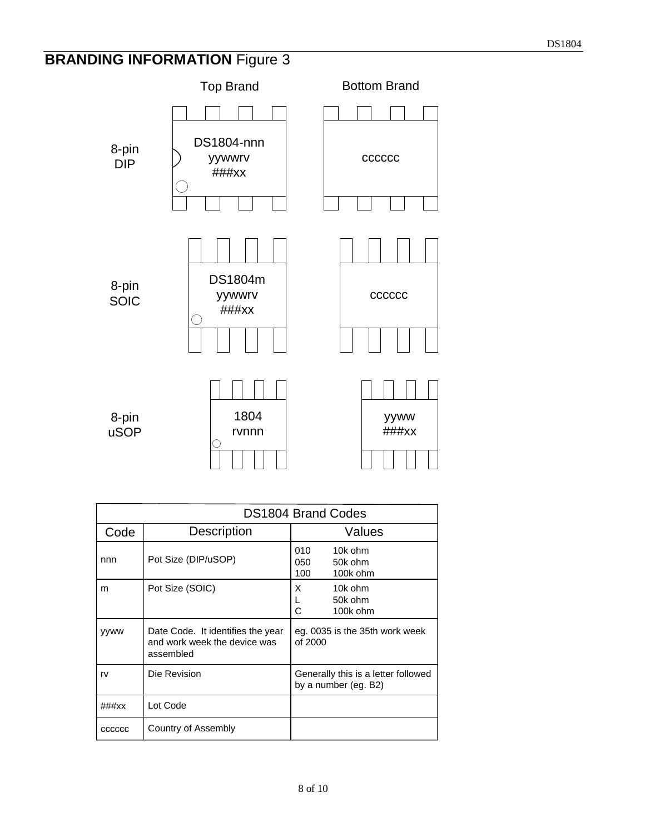# **BRANDING INFORMATION** Figure 3



|             |                                                                                | <b>DS1804 Brand Codes</b>                                   |  |  |
|-------------|--------------------------------------------------------------------------------|-------------------------------------------------------------|--|--|
| Code        | Description                                                                    | Values                                                      |  |  |
| nnn         | Pot Size (DIP/uSOP)                                                            | 10k ohm<br>010<br>050<br>50k ohm<br>100k ohm<br>100         |  |  |
| m           | Pot Size (SOIC)                                                                | X<br>10k ohm<br>50k ohm<br>C<br>100k ohm                    |  |  |
| <b>VVWW</b> | Date Code. It identifies the year<br>and work week the device was<br>assembled | eg. 0035 is the 35th work week<br>of 2000                   |  |  |
| rv          | Die Revision                                                                   | Generally this is a letter followed<br>by a number (eg. B2) |  |  |
| ###xx       | Lot Code                                                                       |                                                             |  |  |
| CCCCCC      | Country of Assembly                                                            |                                                             |  |  |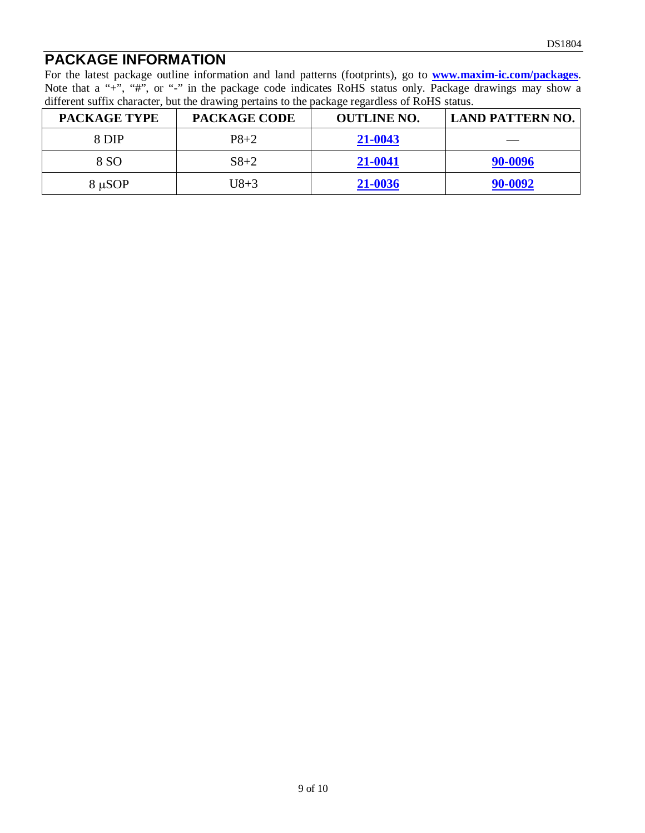# **PACKAGE INFORMATION**

For the latest package outline information and land patterns (footprints), go to **www.maxim-ic.com/packages**. Note that a "+", "#", or "-" in the package code indicates RoHS status only. Package drawings may show a different suffix character, but the drawing pertains to the package regardless of RoHS status.

| <b>PACKAGE TYPE</b> | <b>PACKAGE CODE</b> | <b>OUTLINE NO.</b> | <b>LAND PATTERN NO.</b> |
|---------------------|---------------------|--------------------|-------------------------|
| 8 DIP               | $P8 + 2$            | 21-0043            |                         |
| 8 SO                | $S8+2$              | 21-0041            | 90-0096                 |
| $8 \mu SOP$         | $U8+3$              | 21-0036            | 90-0092                 |